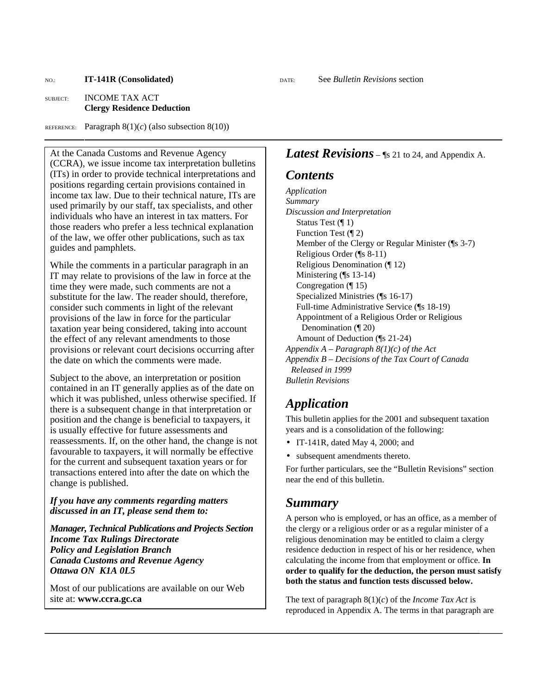NO.: **IT-141R (Consolidated)** DATE: See *Bulletin Revisions* section

#### SUBJECT: INCOME TAX ACT **Clergy Residence Deduction**

REFERENCE: Paragraph  $8(1)(c)$  (also subsection  $8(10)$ )

At the Canada Customs and Revenue Agency (CCRA), we issue income tax interpretation bulletins (ITs) in order to provide technical interpretations and positions regarding certain provisions contained in income tax law. Due to their technical nature, ITs are used primarily by our staff, tax specialists, and other individuals who have an interest in tax matters. For those readers who prefer a less technical explanation of the law, we offer other publications, such as tax guides and pamphlets.

While the comments in a particular paragraph in an IT may relate to provisions of the law in force at the time they were made, such comments are not a substitute for the law. The reader should, therefore, consider such comments in light of the relevant provisions of the law in force for the particular taxation year being considered, taking into account the effect of any relevant amendments to those provisions or relevant court decisions occurring after the date on which the comments were made.

Subject to the above, an interpretation or position contained in an IT generally applies as of the date on which it was published, unless otherwise specified. If there is a subsequent change in that interpretation or position and the change is beneficial to taxpayers, it is usually effective for future assessments and reassessments. If, on the other hand, the change is not favourable to taxpayers, it will normally be effective for the current and subsequent taxation years or for transactions entered into after the date on which the change is published.

#### *If you have any comments regarding matters discussed in an IT, please send them to:*

*Manager, Technical Publications and Projects Section Income Tax Rulings Directorate Policy and Legislation Branch Canada Customs and Revenue Agency Ottawa ON K1A 0L5* 

Most of our publications are available on our Web site at: **www.ccra.gc.ca**

#### *Latest Revisions* – [§ 21 to 24, and Appendix A.

#### *Contents*

*Application Summary Discussion and Interpretation*  Status Test (¶ 1) Function Test (¶ 2) Member of the Clergy or Regular Minister (¶s 3-7) Religious Order (¶s 8-11) Religious Denomination (¶ 12) Ministering (¶s 13-14) Congregation (¶ 15) Specialized Ministries (¶s 16-17) Full-time Administrative Service (¶s 18-19) Appointment of a Religious Order or Religious Denomination (¶ 20) Amount of Deduction (¶s 21-24) *Appendix A – Paragraph 8(1)(c) of the Act Appendix B – Decisions of the Tax Court of Canada Released in 1999 Bulletin Revisions* 

## *Application*

This bulletin applies for the 2001 and subsequent taxation years and is a consolidation of the following:

- IT-141R, dated May 4, 2000; and
- subsequent amendments thereto.

For further particulars, see the "Bulletin Revisions" section near the end of this bulletin.

#### *Summary*

A person who is employed, or has an office, as a member of the clergy or a religious order or as a regular minister of a religious denomination may be entitled to claim a clergy residence deduction in respect of his or her residence, when calculating the income from that employment or office. **In order to qualify for the deduction, the person must satisfy both the status and function tests discussed below.**

The text of paragraph 8(1)(*c*) of the *Income Tax Act* is reproduced in Appendix A. The terms in that paragraph are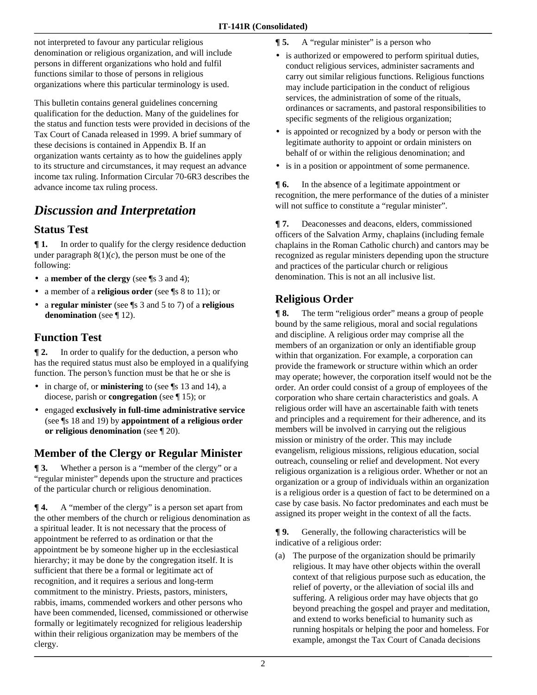not interpreted to favour any particular religious denomination or religious organization, and will include persons in different organizations who hold and fulfil functions similar to those of persons in religious organizations where this particular terminology is used.

This bulletin contains general guidelines concerning qualification for the deduction. Many of the guidelines for the status and function tests were provided in decisions of the Tax Court of Canada released in 1999. A brief summary of these decisions is contained in Appendix B. If an organization wants certainty as to how the guidelines apply to its structure and circumstances, it may request an advance income tax ruling. Information Circular 70-6R3 describes the advance income tax ruling process.

# *Discussion and Interpretation*

#### **Status Test**

**¶ 1.** In order to qualify for the clergy residence deduction under paragraph  $8(1)(c)$ , the person must be one of the following:

- a **member of the clergy** (see ¶s 3 and 4);
- a member of a **religious order** (see ¶s 8 to 11); or
- a **regular minister** (see ¶s 3 and 5 to 7) of a **religious denomination** (see ¶ 12).

## **Function Test**

**¶ 2.** In order to qualify for the deduction, a person who has the required status must also be employed in a qualifying function. The person's function must be that he or she is

- in charge of, or **ministering** to (see ¶s 13 and 14), a diocese, parish or **congregation** (see ¶ 15); or
- engaged **exclusively in full-time administrative service** (see ¶s 18 and 19) by **appointment of a religious order or religious denomination** (see ¶ 20).

## **Member of the Clergy or Regular Minister**

**[3.** Whether a person is a "member of the clergy" or a "regular minister" depends upon the structure and practices of the particular church or religious denomination.

 $\P$  **4.** A "member of the clergy" is a person set apart from the other members of the church or religious denomination as a spiritual leader. It is not necessary that the process of appointment be referred to as ordination or that the appointment be by someone higher up in the ecclesiastical hierarchy; it may be done by the congregation itself. It is sufficient that there be a formal or legitimate act of recognition, and it requires a serious and long-term commitment to the ministry. Priests, pastors, ministers, rabbis, imams, commended workers and other persons who have been commended, licensed, commissioned or otherwise formally or legitimately recognized for religious leadership within their religious organization may be members of the clergy.

- **[5.** A "regular minister" is a person who
- is authorized or empowered to perform spiritual duties, conduct religious services, administer sacraments and carry out similar religious functions. Religious functions may include participation in the conduct of religious services, the administration of some of the rituals, ordinances or sacraments, and pastoral responsibilities to specific segments of the religious organization;
- is appointed or recognized by a body or person with the legitimate authority to appoint or ordain ministers on behalf of or within the religious denomination; and
- is in a position or appointment of some permanence.

**¶ 6.** In the absence of a legitimate appointment or recognition, the mere performance of the duties of a minister will not suffice to constitute a "regular minister".

**¶ 7.** Deaconesses and deacons, elders, commissioned officers of the Salvation Army, chaplains (including female chaplains in the Roman Catholic church) and cantors may be recognized as regular ministers depending upon the structure and practices of the particular church or religious denomination. This is not an all inclusive list.

## **Religious Order**

**¶ 8.** The term "religious order" means a group of people bound by the same religious, moral and social regulations and discipline. A religious order may comprise all the members of an organization or only an identifiable group within that organization. For example, a corporation can provide the framework or structure within which an order may operate; however, the corporation itself would not be the order. An order could consist of a group of employees of the corporation who share certain characteristics and goals. A religious order will have an ascertainable faith with tenets and principles and a requirement for their adherence, and its members will be involved in carrying out the religious mission or ministry of the order. This may include evangelism, religious missions, religious education, social outreach, counseling or relief and development. Not every religious organization is a religious order. Whether or not an organization or a group of individuals within an organization is a religious order is a question of fact to be determined on a case by case basis. No factor predominates and each must be assigned its proper weight in the context of all the facts.

**¶ 9.** Generally, the following characteristics will be indicative of a religious order:

(a) The purpose of the organization should be primarily religious. It may have other objects within the overall context of that religious purpose such as education, the relief of poverty, or the alleviation of social ills and suffering. A religious order may have objects that go beyond preaching the gospel and prayer and meditation, and extend to works beneficial to humanity such as running hospitals or helping the poor and homeless. For example, amongst the Tax Court of Canada decisions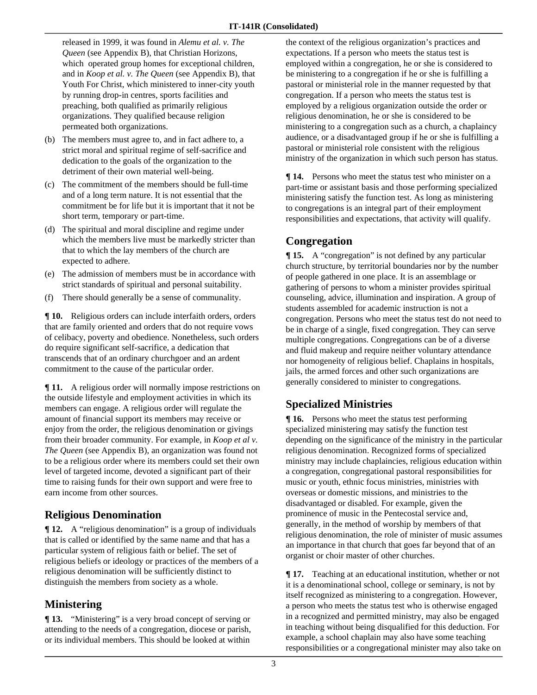released in 1999, it was found in *Alemu et al. v. The Queen* (see Appendix B), that Christian Horizons, which operated group homes for exceptional children, and in *Koop et al. v. The Queen* (see Appendix B), that Youth For Christ, which ministered to inner-city youth by running drop-in centres, sports facilities and preaching, both qualified as primarily religious organizations. They qualified because religion permeated both organizations.

- (b) The members must agree to, and in fact adhere to, a strict moral and spiritual regime of self-sacrifice and dedication to the goals of the organization to the detriment of their own material well-being.
- (c) The commitment of the members should be full-time and of a long term nature. It is not essential that the commitment be for life but it is important that it not be short term, temporary or part-time.
- (d) The spiritual and moral discipline and regime under which the members live must be markedly stricter than that to which the lay members of the church are expected to adhere.
- (e) The admission of members must be in accordance with strict standards of spiritual and personal suitability.
- (f) There should generally be a sense of communality.

**¶ 10.** Religious orders can include interfaith orders, orders that are family oriented and orders that do not require vows of celibacy, poverty and obedience. Nonetheless, such orders do require significant self-sacrifice, a dedication that transcends that of an ordinary churchgoer and an ardent commitment to the cause of the particular order.

 $\P$ **11.** A religious order will normally impose restrictions on the outside lifestyle and employment activities in which its members can engage. A religious order will regulate the amount of financial support its members may receive or enjoy from the order, the religious denomination or givings from their broader community. For example, in *Koop et al v. The Queen* (see Appendix B), an organization was found not to be a religious order where its members could set their own level of targeted income, devoted a significant part of their time to raising funds for their own support and were free to earn income from other sources.

#### **Religious Denomination**

**¶ 12.** A "religious denomination" is a group of individuals that is called or identified by the same name and that has a particular system of religious faith or belief. The set of religious beliefs or ideology or practices of the members of a religious denomination will be sufficiently distinct to distinguish the members from society as a whole.

#### **Ministering**

**¶ 13.** "Ministering" is a very broad concept of serving or attending to the needs of a congregation, diocese or parish, or its individual members. This should be looked at within

the context of the religious organization's practices and expectations. If a person who meets the status test is employed within a congregation, he or she is considered to be ministering to a congregation if he or she is fulfilling a pastoral or ministerial role in the manner requested by that congregation. If a person who meets the status test is employed by a religious organization outside the order or religious denomination, he or she is considered to be ministering to a congregation such as a church, a chaplaincy audience, or a disadvantaged group if he or she is fulfilling a pastoral or ministerial role consistent with the religious ministry of the organization in which such person has status.

**¶ 14.** Persons who meet the status test who minister on a part-time or assistant basis and those performing specialized ministering satisfy the function test. As long as ministering to congregations is an integral part of their employment responsibilities and expectations, that activity will qualify.

#### **Congregation**

**¶ 15.** A "congregation" is not defined by any particular church structure, by territorial boundaries nor by the number of people gathered in one place. It is an assemblage or gathering of persons to whom a minister provides spiritual counseling, advice, illumination and inspiration. A group of students assembled for academic instruction is not a congregation. Persons who meet the status test do not need to be in charge of a single, fixed congregation. They can serve multiple congregations. Congregations can be of a diverse and fluid makeup and require neither voluntary attendance nor homogeneity of religious belief. Chaplains in hospitals, jails, the armed forces and other such organizations are generally considered to minister to congregations.

#### **Specialized Ministries**

 $\P$ **16.** Persons who meet the status test performing specialized ministering may satisfy the function test depending on the significance of the ministry in the particular religious denomination. Recognized forms of specialized ministry may include chaplaincies, religious education within a congregation, congregational pastoral responsibilities for music or youth, ethnic focus ministries, ministries with overseas or domestic missions, and ministries to the disadvantaged or disabled. For example, given the prominence of music in the Pentecostal service and, generally, in the method of worship by members of that religious denomination, the role of minister of music assumes an importance in that church that goes far beyond that of an organist or choir master of other churches.

**¶ 17.** Teaching at an educational institution, whether or not it is a denominational school, college or seminary, is not by itself recognized as ministering to a congregation. However, a person who meets the status test who is otherwise engaged in a recognized and permitted ministry, may also be engaged in teaching without being disqualified for this deduction. For example, a school chaplain may also have some teaching responsibilities or a congregational minister may also take on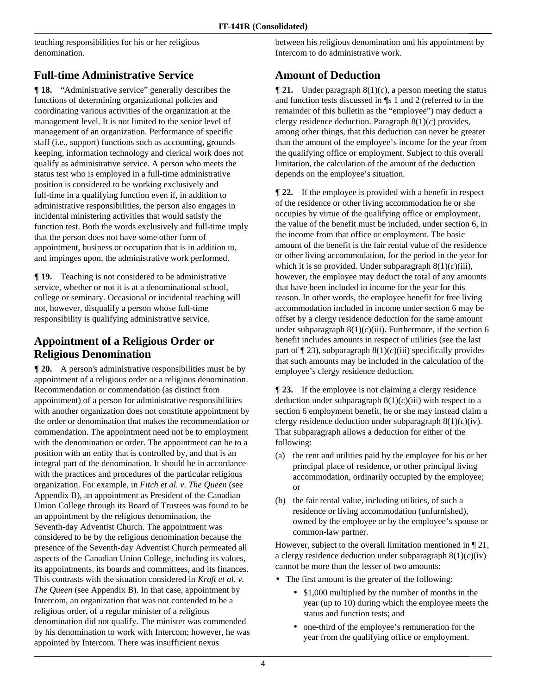teaching responsibilities for his or her religious denomination.

## **Full-time Administrative Service**

**¶ 18.** "Administrative service" generally describes the functions of determining organizational policies and coordinating various activities of the organization at the management level. It is not limited to the senior level of management of an organization. Performance of specific staff (i.e., support) functions such as accounting, grounds keeping, information technology and clerical work does not qualify as administrative service. A person who meets the status test who is employed in a full-time administrative position is considered to be working exclusively and full-time in a qualifying function even if, in addition to administrative responsibilities, the person also engages in incidental ministering activities that would satisfy the function test. Both the words exclusively and full-time imply that the person does not have some other form of appointment, business or occupation that is in addition to, and impinges upon, the administrative work performed.

**¶ 19.** Teaching is not considered to be administrative service, whether or not it is at a denominational school, college or seminary. Occasional or incidental teaching will not, however, disqualify a person whose full-time responsibility is qualifying administrative service.

#### **Appointment of a Religious Order or Religious Denomination**

**[ 20.** A person's administrative responsibilities must be by appointment of a religious order or a religious denomination. Recommendation or commendation (as distinct from appointment) of a person for administrative responsibilities with another organization does not constitute appointment by the order or denomination that makes the recommendation or commendation. The appointment need not be to employment with the denomination or order. The appointment can be to a position with an entity that is controlled by, and that is an integral part of the denomination. It should be in accordance with the practices and procedures of the particular religious organization. For example, in *Fitch et al. v. The Queen* (see Appendix B), an appointment as President of the Canadian Union College through its Board of Trustees was found to be an appointment by the religious denomination, the Seventh-day Adventist Church. The appointment was considered to be by the religious denomination because the presence of the Seventh-day Adventist Church permeated all aspects of the Canadian Union College, including its values, its appointments, its boards and committees, and its finances. This contrasts with the situation considered in *Kraft et al. v. The Queen* (see Appendix B). In that case, appointment by Intercom, an organization that was not contended to be a religious order, of a regular minister of a religious denomination did not qualify. The minister was commended by his denomination to work with Intercom; however, he was appointed by Intercom. There was insufficient nexus

between his religious denomination and his appointment by Intercom to do administrative work.

#### **Amount of Deduction**

 $\P$  **21.** Under paragraph  $8(1)(c)$ , a person meeting the status and function tests discussed in ¶s 1 and 2 (referred to in the remainder of this bulletin as the "employee") may deduct a clergy residence deduction. Paragraph 8(1)(*c*) provides, among other things, that this deduction can never be greater than the amount of the employee's income for the year from the qualifying office or employment. Subject to this overall limitation, the calculation of the amount of the deduction depends on the employee's situation.

**¶ 22.** If the employee is provided with a benefit in respect of the residence or other living accommodation he or she occupies by virtue of the qualifying office or employment, the value of the benefit must be included, under section 6, in the income from that office or employment. The basic amount of the benefit is the fair rental value of the residence or other living accommodation, for the period in the year for which it is so provided. Under subparagraph  $8(1)(c)$ (iii), however, the employee may deduct the total of any amounts that have been included in income for the year for this reason. In other words, the employee benefit for free living accommodation included in income under section 6 may be offset by a clergy residence deduction for the same amount under subparagraph  $8(1)(c)$ (iii). Furthermore, if the section 6 benefit includes amounts in respect of utilities (see the last part of  $\P$  23), subparagraph 8(1)(*c*)(iii) specifically provides that such amounts may be included in the calculation of the employee's clergy residence deduction.

**¶ 23.** If the employee is not claiming a clergy residence deduction under subparagraph  $8(1)(c)$ (iii) with respect to a section 6 employment benefit, he or she may instead claim a clergy residence deduction under subparagraph  $8(1)(c)(iv)$ . That subparagraph allows a deduction for either of the following:

- (a) the rent and utilities paid by the employee for his or her principal place of residence, or other principal living accommodation, ordinarily occupied by the employee; or
- (b) the fair rental value, including utilities, of such a residence or living accommodation (unfurnished), owned by the employee or by the employee's spouse or common-law partner.

However, subject to the overall limitation mentioned in ¶ 21, a clergy residence deduction under subparagraph  $8(1)(c)(iv)$ cannot be more than the lesser of two amounts:

- The first amount is the greater of the following:
	- \$1,000 multiplied by the number of months in the year (up to 10) during which the employee meets the status and function tests; and
	- one-third of the employee's remuneration for the year from the qualifying office or employment.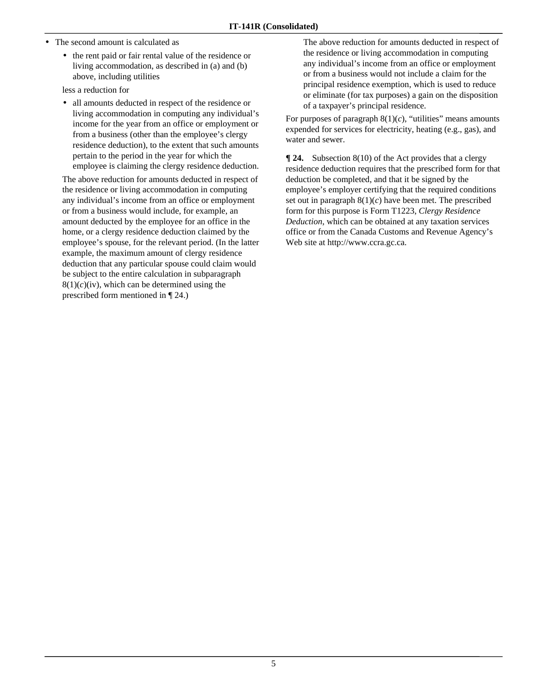- The second amount is calculated as
	- the rent paid or fair rental value of the residence or living accommodation, as described in (a) and (b) above, including utilities

less a reduction for

• all amounts deducted in respect of the residence or living accommodation in computing any individual's income for the year from an office or employment or from a business (other than the employee's clergy residence deduction), to the extent that such amounts pertain to the period in the year for which the employee is claiming the clergy residence deduction.

 The above reduction for amounts deducted in respect of the residence or living accommodation in computing any individual's income from an office or employment or from a business would include, for example, an amount deducted by the employee for an office in the home, or a clergy residence deduction claimed by the employee's spouse, for the relevant period. (In the latter example, the maximum amount of clergy residence deduction that any particular spouse could claim would be subject to the entire calculation in subparagraph  $8(1)(c)(iv)$ , which can be determined using the prescribed form mentioned in ¶ 24.)

 The above reduction for amounts deducted in respect of the residence or living accommodation in computing any individual's income from an office or employment or from a business would not include a claim for the principal residence exemption, which is used to reduce or eliminate (for tax purposes) a gain on the disposition of a taxpayer's principal residence.

For purposes of paragraph  $8(1)(c)$ , "utilities" means amounts expended for services for electricity, heating (e.g., gas), and water and sewer.

**¶ 24.** Subsection 8(10) of the Act provides that a clergy residence deduction requires that the prescribed form for that deduction be completed, and that it be signed by the employee's employer certifying that the required conditions set out in paragraph  $8(1)(c)$  have been met. The prescribed form for this purpose is Form T1223, *Clergy Residence Deduction*, which can be obtained at any taxation services office or from the Canada Customs and Revenue Agency's Web site at http://www.ccra.gc.ca.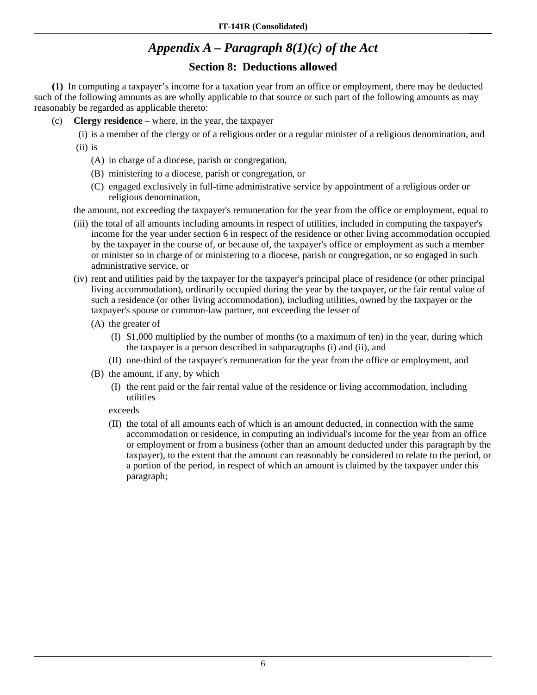# *Appendix A – Paragraph 8(1)(c) of the Act*

#### **Section 8: Deductions allowed**

 **(1)** In computing a taxpayer's income for a taxation year from an office or employment, there may be deducted such of the following amounts as are wholly applicable to that source or such part of the following amounts as may reasonably be regarded as applicable thereto:

(c) **Clergy residence** – where, in the year, the taxpayer

 (i) is a member of the clergy or of a religious order or a regular minister of a religious denomination, and (ii) is

- (A) in charge of a diocese, parish or congregation,
- (B) ministering to a diocese, parish or congregation, or
- (C) engaged exclusively in full-time administrative service by appointment of a religious order or religious denomination,

the amount, not exceeding the taxpayer's remuneration for the year from the office or employment, equal to

- (iii) the total of all amounts including amounts in respect of utilities, included in computing the taxpayer's income for the year under section 6 in respect of the residence or other living accommodation occupied by the taxpayer in the course of, or because of, the taxpayer's office or employment as such a member or minister so in charge of or ministering to a diocese, parish or congregation, or so engaged in such administrative service, or
- (iv) rent and utilities paid by the taxpayer for the taxpayer's principal place of residence (or other principal living accommodation), ordinarily occupied during the year by the taxpayer, or the fair rental value of such a residence (or other living accommodation), including utilities, owned by the taxpayer or the taxpayer's spouse or common-law partner, not exceeding the lesser of
	- (A) the greater of
		- (I) \$1,000 multiplied by the number of months (to a maximum of ten) in the year, during which the taxpayer is a person described in subparagraphs (i) and (ii), and
		- (II) one-third of the taxpayer's remuneration for the year from the office or employment, and
	- (B) the amount, if any, by which
		- (I) the rent paid or the fair rental value of the residence or living accommodation, including utilities

exceeds

(II) the total of all amounts each of which is an amount deducted, in connection with the same accommodation or residence, in computing an individual's income for the year from an office or employment or from a business (other than an amount deducted under this paragraph by the taxpayer), to the extent that the amount can reasonably be considered to relate to the period, or a portion of the period, in respect of which an amount is claimed by the taxpayer under this paragraph;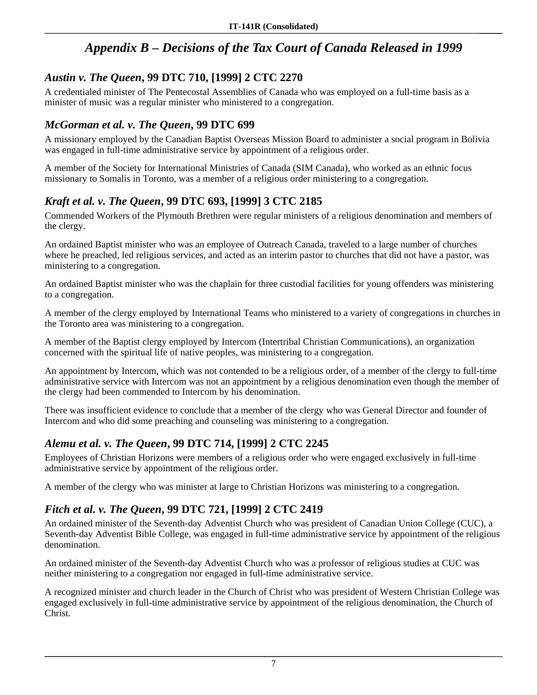# *Appendix B – Decisions of the Tax Court of Canada Released in 1999*

#### *Austin v. The Queen***, 99 DTC 710, [1999] 2 CTC 2270**

A credentialed minister of The Pentecostal Assemblies of Canada who was employed on a full-time basis as a minister of music was a regular minister who ministered to a congregation.

#### *McGorman et al. v. The Queen***, 99 DTC 699**

A missionary employed by the Canadian Baptist Overseas Mission Board to administer a social program in Bolivia was engaged in full-time administrative service by appointment of a religious order.

A member of the Society for International Ministries of Canada (SIM Canada), who worked as an ethnic focus missionary to Somalis in Toronto, was a member of a religious order ministering to a congregation.

## *Kraft et al. v. The Queen***, 99 DTC 693, [1999] 3 CTC 2185**

Commended Workers of the Plymouth Brethren were regular ministers of a religious denomination and members of the clergy.

An ordained Baptist minister who was an employee of Outreach Canada, traveled to a large number of churches where he preached, led religious services, and acted as an interim pastor to churches that did not have a pastor, was ministering to a congregation.

An ordained Baptist minister who was the chaplain for three custodial facilities for young offenders was ministering to a congregation.

A member of the clergy employed by International Teams who ministered to a variety of congregations in churches in the Toronto area was ministering to a congregation.

A member of the Baptist clergy employed by Intercom (Intertribal Christian Communications), an organization concerned with the spiritual life of native peoples, was ministering to a congregation.

An appointment by Intercom, which was not contended to be a religious order, of a member of the clergy to full-time administrative service with Intercom was not an appointment by a religious denomination even though the member of the clergy had been commended to Intercom by his denomination.

There was insufficient evidence to conclude that a member of the clergy who was General Director and founder of Intercom and who did some preaching and counseling was ministering to a congregation.

## *Alemu et al. v. The Queen***, 99 DTC 714, [1999] 2 CTC 2245**

Employees of Christian Horizons were members of a religious order who were engaged exclusively in full-time administrative service by appointment of the religious order.

A member of the clergy who was minister at large to Christian Horizons was ministering to a congregation.

## *Fitch et al. v. The Queen***, 99 DTC 721, [1999] 2 CTC 2419**

An ordained minister of the Seventh-day Adventist Church who was president of Canadian Union College (CUC), a Seventh-day Adventist Bible College, was engaged in full-time administrative service by appointment of the religious denomination.

An ordained minister of the Seventh-day Adventist Church who was a professor of religious studies at CUC was neither ministering to a congregation nor engaged in full-time administrative service.

A recognized minister and church leader in the Church of Christ who was president of Western Christian College was engaged exclusively in full-time administrative service by appointment of the religious denomination, the Church of Christ.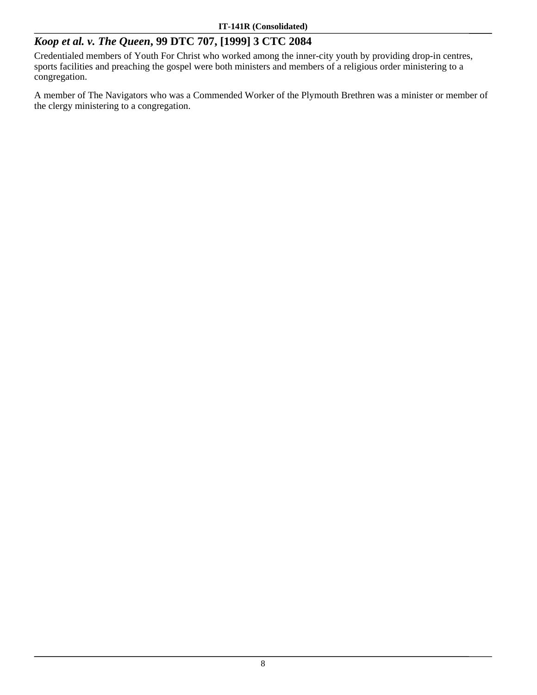#### *Koop et al. v. The Queen***, 99 DTC 707, [1999] 3 CTC 2084**

Credentialed members of Youth For Christ who worked among the inner-city youth by providing drop-in centres, sports facilities and preaching the gospel were both ministers and members of a religious order ministering to a congregation.

A member of The Navigators who was a Commended Worker of the Plymouth Brethren was a minister or member of the clergy ministering to a congregation.